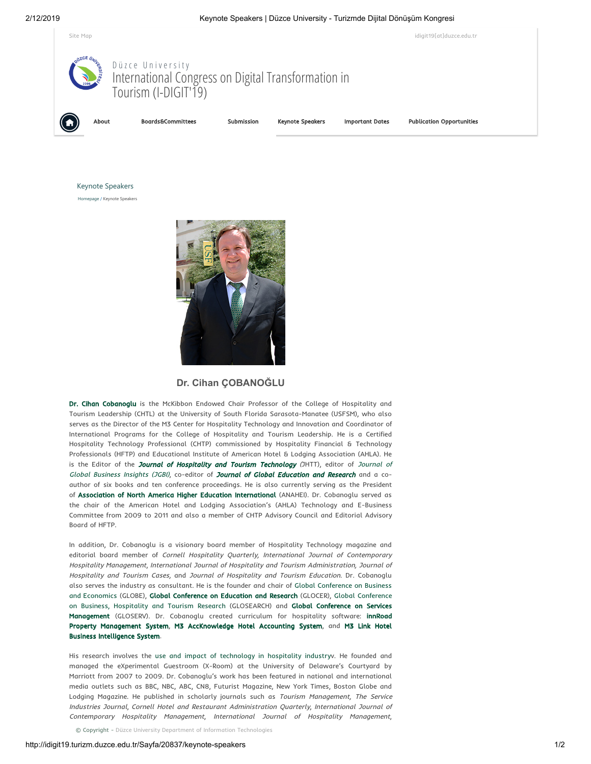

Keynote Speakers

[Homepage](http://idigit19.turizm.duzce.edu.tr/) / [Keynote Speakers](http://idigit19.turizm.duzce.edu.tr/Sayfa/20837/keynote-speakers)



## **Dr. Chan ÇOBANOĞLU**

[Dr. Cihan Cobanoglu](http://www.cihan.org/) is the McKibbon Endowed Chair Professor of the College of Hospitality and Tourism Leadership (CHTL) at the University of South Florida Sarasota-Manatee (USFSM), who also serves as the Director of the M3 Center for Hospitality Technology and Innovation and Coordinator of International Programs for the College of Hospitality and Tourism Leadership. He is a Certified Hospitality Technology Professional (CHTP) commissioned by Hospitality Financial & Technology Professionals (HFTP) and Educational Institute of American Hotel & Lodging Association (AHLA). He is the Editor of the [Journal of Hospitality and Tourism Technolog](http://www.emeraldgrouppublishing.com/products/journals/editorial_team.htm?id=jhtt)[y](http://scholarcommons.usf.edu/globe) (JHTT), editor of Journal of Global Business Insights (JGBI), co-editor of [Journal of Global Education and Research](https://scholarcommons.usf.edu/jger/) and a coauthor of six books and ten conference proceedings. He is also currently serving as the President of Association of North America Higher Education International (ANAHEI). Dr. Cobanoglu served as the chair of the American Hotel and Lodging Association's (AHLA) Technology and E-Business Committee from 2009 to 2011 and also a member of CHTP Advisory Council and Editorial Advisory Board of HFTP.

In addition, Dr. Cobanoglu is a visionary board member of Hospitality Technology magazine and editorial board member of Cornell Hospitality Quarterly, International Journal of Contemporary Hospitality Management, International Journal of Hospitality and Tourism Administration, Journal of Hospitality and Tourism Cases, and Journal of Hospitality and Tourism Education. Dr. Cobanoglu [also serves the industry as consultant. He is the founder and chair of Global Conference on Business](http://globeconference.org/) and Economics [\(GLOBE\), G](http://glosearch.org/)[lobal Conference on Education and Researc](http://glocer.org/)[h](http://glosearch.org/) (GLOCER), Global Conference on Business, Hospitality and Tourism Research (GLOSEARCH) and Global Conference on Services Management [\(GLOSERV\). Dr. Cobanoglu created curriculum for hospitality software:](http://gloserv.org/) innRoad Property Management System, [M](http://www.m3linkuniversity.com/)[3 AccKnowledge Hotel Accounting System](http://www.m3university.com/)[, and](http://www.m3linkuniversity.com/)  M3 Link Hotel Business Intelligence System.

His research involves the [use and impact of technology in hospitality industryv](https://scholar.google.com/citations?user=ddAYWiIAAAAJ&hl=en). He founded and managed the eXperimental Guestroom (X-Room) at the University of Delaware's Courtyard by Marriott from 2007 to 2009. Dr. Cobanoglu's work has been featured in national and international media outlets such as BBC, NBC, ABC, CN8, Futurist Magazine, New York Times, Boston Globe and Lodging Magazine. He published in scholarly journals such as Tourism Management, The Service Industries Journal, Cornell Hotel and Restaurant Administration Quarterly, International Journal of Contemporary Hospitality Management, International Journal of Hospitality Management,

 $\circ$  Copyright - Düzce University Department of Information Technologies